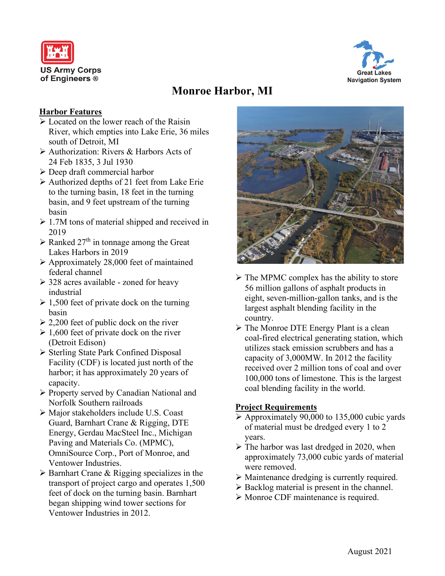



# **Monroe Harbor, MI**

## **Harbor Features**

- $\triangleright$  Located on the lower reach of the Raisin River, which empties into Lake Erie, 36 miles south of Detroit, MI
- Authorization: Rivers & Harbors Acts of 24 Feb 1835, 3 Jul 1930
- Deep draft commercial harbor
- $\triangleright$  Authorized depths of 21 feet from Lake Erie to the turning basin, 18 feet in the turning basin, and 9 feet upstream of the turning basin
- $\geq 1.7M$  tons of material shipped and received in 2019
- $\triangleright$  Ranked 27<sup>th</sup> in tonnage among the Great Lakes Harbors in 2019
- Approximately 28,000 feet of maintained federal channel
- $\geq$  328 acres available zoned for heavy industrial
- $\geq 1,500$  feet of private dock on the turning basin
- $\geq 2,200$  feet of public dock on the river
- $\geq 1,600$  feet of private dock on the river (Detroit Edison)
- Sterling State Park Confined Disposal Facility (CDF) is located just north of the harbor; it has approximately 20 years of capacity.
- Property served by Canadian National and Norfolk Southern railroads
- Major stakeholders include U.S. Coast Guard, Barnhart Crane & Rigging, DTE Energy, Gerdau MacSteel Inc., Michigan Paving and Materials Co. (MPMC), OmniSource Corp., Port of Monroe, and Ventower Industries.
- $\triangleright$  Barnhart Crane & Rigging specializes in the transport of project cargo and operates 1,500 feet of dock on the turning basin. Barnhart began shipping wind tower sections for Ventower Industries in 2012.



- $\triangleright$  The MPMC complex has the ability to store 56 million gallons of asphalt products in eight, seven-million-gallon tanks, and is the largest asphalt blending facility in the country.
- $\triangleright$  The Monroe DTE Energy Plant is a clean coal-fired electrical generating station, which utilizes stack emission scrubbers and has a capacity of 3,000MW. In 2012 the facility received over 2 million tons of coal and over 100,000 tons of limestone. This is the largest coal blending facility in the world.

## **Project Requirements**

- $\triangleright$  Approximately 90,000 to 135,000 cubic yards of material must be dredged every 1 to 2 years.
- $\triangleright$  The harbor was last dredged in 2020, when approximately 73,000 cubic yards of material were removed.
- Maintenance dredging is currently required.
- $\triangleright$  Backlog material is present in the channel.
- $\triangleright$  Monroe CDF maintenance is required.